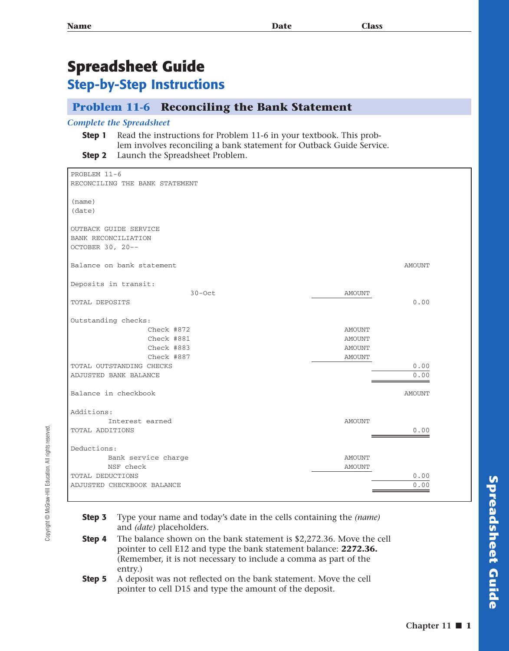## **Spreadsheet Guide Step-by-Step Instructions**

## **Problem 11-6 Reconciling the Bank Statement**

## *Complete the Spreadsheet*

**Step 1** Read the instructions for Problem 11-6 in your textbook. This problem involves reconciling a bank statement for Outback Guide Service. **Step 2** Launch the Spreadsheet Problem.

PROBLEM 11-6 RECONCILING THE BANK STATEMENT (name) (date) OUTBACK GUIDE SERVICE BANK RECONCILIATION OCTOBER 30, 20–– Balance on bank statement and the statement of the statement of the statement of the statement of the statement Deposits in transit: 30-Oct AMOUNT TOTAL DEPOSITS 0.00 Outstanding checks: Check #872 AMOUNT Check #881 AMOUNT Check #883 AMOUNT Check #887 AMOUNT TOTAL OUTSTANDING CHECKS  $\qquad \qquad \qquad 0.00$ ADJUSTED BANK BALANCE 0.00 Balance in checkbook and a series are a series of the series of the series of the series of the series of the series of the series of the series of the series of the series of the series of the series of the series of the Additions: Interest earned  $\blacksquare$ TOTAL ADDITIONS 0.00 Deductions: Bank service charge  $\blacksquare$  NSF check AMOUNT TOTAL DEDUCTIONS  $\qquad \qquad \qquad 0.00$ ADJUSTED CHECKBOOK BALANCE 0.00

- **Step 3** Type your name and today's date in the cells containing the *(name)* and *(date)* placeholders.
- **Step 4** The balance shown on the bank statement is \$2,272.36. Move the cell pointer to cell E12 and type the bank statement balance: **2272.36.** (Remember, it is not necessary to include a comma as part of the entry.)
- **Step 5** A deposit was not reflected on the bank statement. Move the cell pointer to cell D15 and type the amount of the deposit.